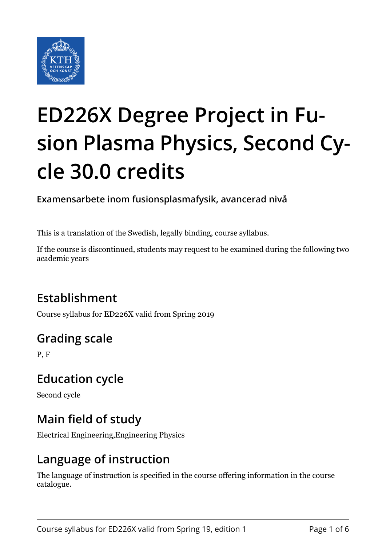

# **ED226X Degree Project in Fusion Plasma Physics, Second Cycle 30.0 credits**

**Examensarbete inom fusionsplasmafysik, avancerad nivå**

This is a translation of the Swedish, legally binding, course syllabus.

If the course is discontinued, students may request to be examined during the following two academic years

# **Establishment**

Course syllabus for ED226X valid from Spring 2019

# **Grading scale**

P, F

## **Education cycle**

Second cycle

## **Main field of study**

Electrical Engineering,Engineering Physics

## **Language of instruction**

The language of instruction is specified in the course offering information in the course catalogue.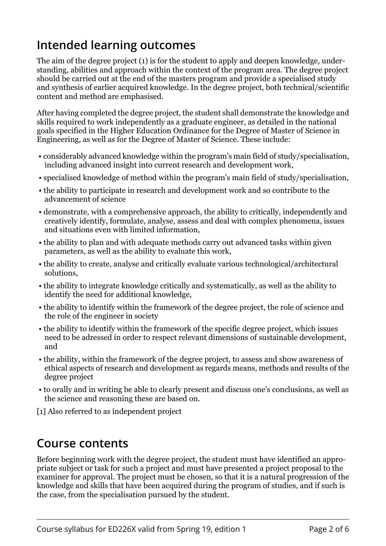## **Intended learning outcomes**

The aim of the degree project (1) is for the student to apply and deepen knowledge, understanding, abilities and approach within the context of the program area. The degree project should be carried out at the end of the masters program and provide a specialised study and synthesis of earlier acquired knowledge. In the degree project, both technical/scientific content and method are emphasised.

After having completed the degree project, the student shall demonstrate the knowledge and skills required to work independently as a graduate engineer, as detailed in the national goals specified in the Higher Education Ordinance for the Degree of Master of Science in Engineering, as well as for the Degree of Master of Science. These include:

- considerably advanced knowledge within the program's main field of study/specialisation, including advanced insight into current research and development work,
- specialised knowledge of method within the program's main field of study/specialisation,
- the ability to participate in research and development work and so contribute to the advancement of science
- demonstrate, with a comprehensive approach, the ability to critically, independently and creatively identify, formulate, analyse, assess and deal with complex phenomena, issues and situations even with limited information,
- the ability to plan and with adequate methods carry out advanced tasks within given parameters, as well as the ability to evaluate this work,
- the ability to create, analyse and critically evaluate various technological/architectural solutions,
- the ability to integrate knowledge critically and systematically, as well as the ability to identify the need for additional knowledge,
- the ability to identify within the framework of the degree project, the role of science and the role of the engineer in society
- the ability to identify within the framework of the specific degree project, which issues need to be adressed in order to respect relevant dimensions of sustainable development, and
- the ability, within the framework of the degree project, to assess and show awareness of ethical aspects of research and development as regards means, methods and results of the degree project
- to orally and in writing be able to clearly present and discuss one's conclusions, as well as the science and reasoning these are based on.

[1] Also referred to as independent project

#### **Course contents**

Before beginning work with the degree project, the student must have identified an appropriate subject or task for such a project and must have presented a project proposal to the examiner for approval. The project must be chosen, so that it is a natural progression of the knowledge and skills that have been acquired during the program of studies, and if such is the case, from the specialisation pursued by the student.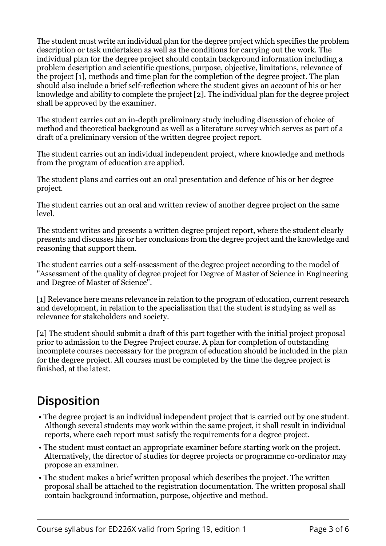The student must write an individual plan for the degree project which specifies the problem description or task undertaken as well as the conditions for carrying out the work. The individual plan for the degree project should contain background information including a problem description and scientific questions, purpose, objective, limitations, relevance of the project [1], methods and time plan for the completion of the degree project. The plan should also include a brief self-reflection where the student gives an account of his or her knowledge and ability to complete the project [2]. The individual plan for the degree project shall be approved by the examiner.

The student carries out an in-depth preliminary study including discussion of choice of method and theoretical background as well as a literature survey which serves as part of a draft of a preliminary version of the written degree project report.

The student carries out an individual independent project, where knowledge and methods from the program of education are applied.

The student plans and carries out an oral presentation and defence of his or her degree project.

The student carries out an oral and written review of another degree project on the same level.

The student writes and presents a written degree project report, where the student clearly presents and discusses his or her conclusions from the degree project and the knowledge and reasoning that support them.

The student carries out a self-assessment of the degree project according to the model of "Assessment of the quality of degree project for Degree of Master of Science in Engineering and Degree of Master of Science".

[1] Relevance here means relevance in relation to the program of education, current research and development, in relation to the specialisation that the student is studying as well as relevance for stakeholders and society.

[2] The student should submit a draft of this part together with the initial project proposal prior to admission to the Degree Project course. A plan for completion of outstanding incomplete courses neccessary for the program of education should be included in the plan for the degree project. All courses must be completed by the time the degree project is finished, at the latest.

# **Disposition**

- The degree project is an individual independent project that is carried out by one student. Although several students may work within the same project, it shall result in individual reports, where each report must satisfy the requirements for a degree project.
- The student must contact an appropriate examiner before starting work on the project. Alternatively, the director of studies for degree projects or programme co-ordinator may propose an examiner.
- The student makes a brief written proposal which describes the project. The written proposal shall be attached to the registration documentation. The written proposal shall contain background information, purpose, objective and method.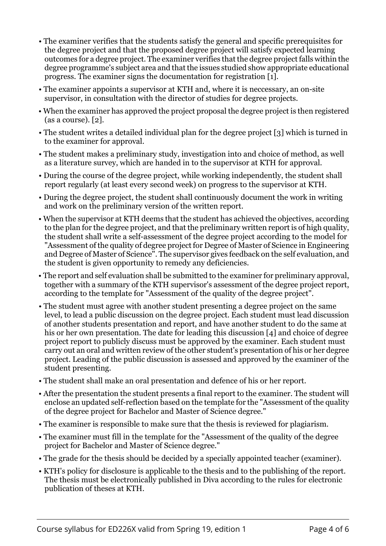- The examiner verifies that the students satisfy the general and specific prerequisites for the degree project and that the proposed degree project will satisfy expected learning outcomes for a degree project. The examiner verifies that the degree project falls within the degree programme's subject area and that the issues studied show appropriate educational progress. The examiner signs the documentation for registration [1].
- The examiner appoints a supervisor at KTH and, where it is neccessary, an on-site supervisor, in consultation with the director of studies for degree projects.
- When the examiner has approved the project proposal the degree project is then registered (as a course). [2].
- The student writes a detailed individual plan for the degree project [3] which is turned in to the examiner for approval.
- The student makes a preliminary study, investigation into and choice of method, as well as a literature survey, which are handed in to the supervisor at KTH for approval.
- During the course of the degree project, while working independently, the student shall report regularly (at least every second week) on progress to the supervisor at KTH.
- During the degree project, the student shall continuously document the work in writing and work on the preliminary version of the written report.
- When the supervisor at KTH deems that the student has achieved the objectives, according to the plan for the degree project, and that the preliminary written report is of high quality, the student shall write a self-assessment of the degree project according to the model for "Assessment of the quality of degree project for Degree of Master of Science in Engineering and Degree of Master of Science". The supervisor gives feedback on the self evaluation, and the student is given opportunity to remedy any deficiencies.
- The report and self evaluation shall be submitted to the examiner for preliminary approval, together with a summary of the KTH supervisor's assessment of the degree project report, according to the template for "Assessment of the quality of the degree project".
- The student must agree with another student presenting a degree project on the same level, to lead a public discussion on the degree project. Each student must lead discussion of another students presentation and report, and have another student to do the same at his or her own presentation. The date for leading this discussion [4] and choice of degree project report to publicly discuss must be approved by the examiner. Each student must carry out an oral and written review of the other student's presentation of his or her degree project. Leading of the public discussion is assessed and approved by the examiner of the student presenting.
- The student shall make an oral presentation and defence of his or her report.
- After the presentation the student presents a final report to the examiner. The student will enclose an updated self-reflection based on the template for the "Assessment of the quality of the degree project for Bachelor and Master of Science degree."
- The examiner is responsible to make sure that the thesis is reviewed for plagiarism.
- The examiner must fill in the template for the "Assessment of the quality of the degree project for Bachelor and Master of Science degree."
- The grade for the thesis should be decided by a specially appointed teacher (examiner).
- KTH's policy for disclosure is applicable to the thesis and to the publishing of the report. The thesis must be electronically published in Diva according to the rules for electronic publication of theses at KTH.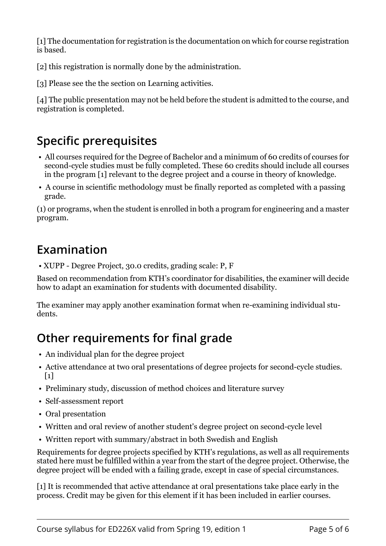[1] The documentation for registration is the documentation on which for course registration is based.

[2] this registration is normally done by the administration.

[3] Please see the the section on Learning activities.

[4] The public presentation may not be held before the student is admitted to the course, and registration is completed.

## **Specific prerequisites**

- All courses required for the Degree of Bachelor and a minimum of 60 credits of courses for second-cycle studies must be fully completed. These 60 credits should include all courses in the program [1] relevant to the degree project and a course in theory of knowledge.
- A course in scientific methodology must be finally reported as completed with a passing grade.

(1) or programs, when the student is enrolled in both a program for engineering and a master program.

## **Examination**

• XUPP - Degree Project, 30.0 credits, grading scale: P, F

Based on recommendation from KTH's coordinator for disabilities, the examiner will decide how to adapt an examination for students with documented disability.

The examiner may apply another examination format when re-examining individual students.

# **Other requirements for final grade**

- An individual plan for the degree project
- Active attendance at two oral presentations of degree projects for second-cycle studies.  $\lceil 1 \rceil$
- Preliminary study, discussion of method choices and literature survey
- Self-assessment report
- Oral presentation
- Written and oral review of another student's degree project on second-cycle level
- Written report with summary/abstract in both Swedish and English

Requirements for degree projects specified by KTH's regulations, as well as all requirements stated here must be fulfilled within a year from the start of the degree project. Otherwise, the degree project will be ended with a failing grade, except in case of special circumstances.

[1] It is recommended that active attendance at oral presentations take place early in the process. Credit may be given for this element if it has been included in earlier courses.